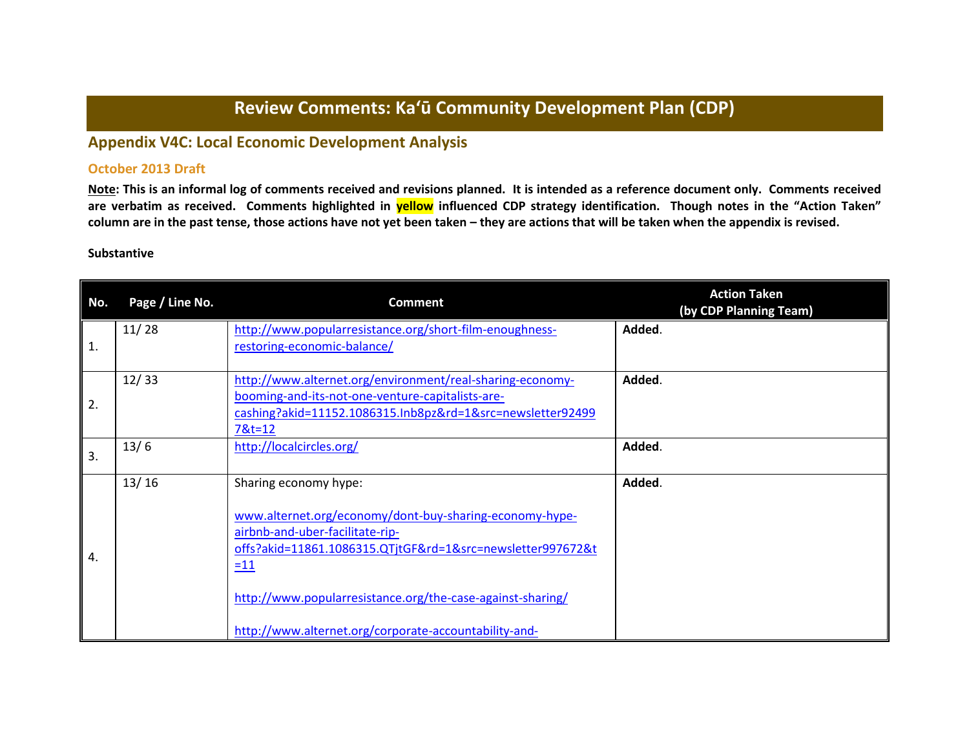# **Review Comments: Ka'ū Community Development Plan (CDP)**

# **Appendix V4C: Local Economic Development Analysis**

## **October 2013 Draft**

**Note: This is an informal log of comments received and revisions planned. It is intended as a reference document only. Comments received are verbatim as received. Comments highlighted in yellow influenced CDP strategy identification. Though notes in the "Action Taken" column are in the past tense, those actions have not yet been taken – they are actions that will be taken when the appendix is revised.**

#### **Substantive**

| No. | Page / Line No. | <b>Comment</b>                                                                                                                                                                                                                                                                                                    | <b>Action Taken</b><br>(by CDP Planning Team) |
|-----|-----------------|-------------------------------------------------------------------------------------------------------------------------------------------------------------------------------------------------------------------------------------------------------------------------------------------------------------------|-----------------------------------------------|
| 1.  | 11/28           | http://www.popularresistance.org/short-film-enoughness-<br>restoring-economic-balance/                                                                                                                                                                                                                            | Added.                                        |
| 2.  | 12/33           | http://www.alternet.org/environment/real-sharing-economy-<br>booming-and-its-not-one-venture-capitalists-are-<br>cashing?akid=11152.1086315.Inb8pz&rd=1&src=newsletter92499<br>7&t=12                                                                                                                             | Added.                                        |
| 3.  | 13/6            | http://localcircles.org/                                                                                                                                                                                                                                                                                          | Added.                                        |
| 4.  | 13/16           | Sharing economy hype:<br>www.alternet.org/economy/dont-buy-sharing-economy-hype-<br>airbnb-and-uber-facilitate-rip-<br>offs?akid=11861.1086315.QTjtGF&rd=1&src=newsletter997672&t<br>$=11$<br>http://www.popularresistance.org/the-case-against-sharing/<br>http://www.alternet.org/corporate-accountability-and- | Added.                                        |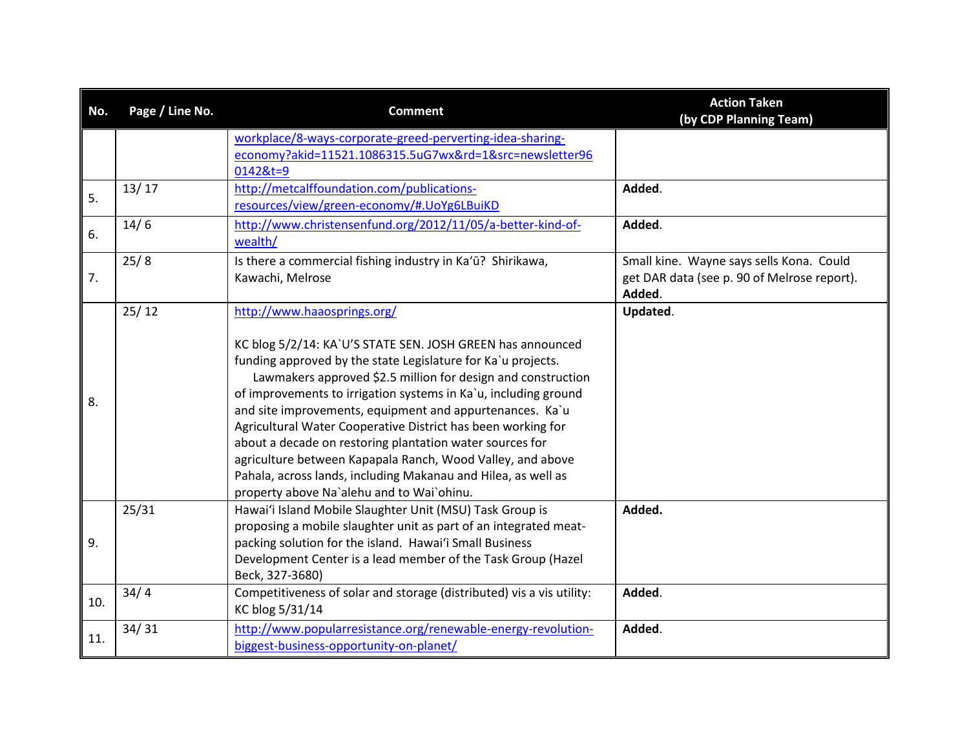| No. | Page / Line No. | <b>Comment</b>                                                                                                                                                                                                                                                                                                                                                                                                                                                                                                                                                                                                                                                   | <b>Action Taken</b><br>(by CDP Planning Team)                                                     |
|-----|-----------------|------------------------------------------------------------------------------------------------------------------------------------------------------------------------------------------------------------------------------------------------------------------------------------------------------------------------------------------------------------------------------------------------------------------------------------------------------------------------------------------------------------------------------------------------------------------------------------------------------------------------------------------------------------------|---------------------------------------------------------------------------------------------------|
|     |                 | workplace/8-ways-corporate-greed-perverting-idea-sharing-<br>economy?akid=11521.1086315.5uG7wx&rd=1&src=newsletter96<br>0142&t=9                                                                                                                                                                                                                                                                                                                                                                                                                                                                                                                                 |                                                                                                   |
| 5.  | 13/17           | http://metcalffoundation.com/publications-<br>resources/view/green-economy/#.UoYg6LBuiKD                                                                                                                                                                                                                                                                                                                                                                                                                                                                                                                                                                         | Added.                                                                                            |
| 6.  | 14/6            | http://www.christensenfund.org/2012/11/05/a-better-kind-of-<br>wealth/                                                                                                                                                                                                                                                                                                                                                                                                                                                                                                                                                                                           | Added.                                                                                            |
| 7.  | 25/8            | Is there a commercial fishing industry in Ka'ū? Shirikawa,<br>Kawachi, Melrose                                                                                                                                                                                                                                                                                                                                                                                                                                                                                                                                                                                   | Small kine. Wayne says sells Kona. Could<br>get DAR data (see p. 90 of Melrose report).<br>Added. |
| 8.  | 25/12           | http://www.haaosprings.org/<br>KC blog 5/2/14: KA`U'S STATE SEN. JOSH GREEN has announced<br>funding approved by the state Legislature for Ka'u projects.<br>Lawmakers approved \$2.5 million for design and construction<br>of improvements to irrigation systems in Ka'u, including ground<br>and site improvements, equipment and appurtenances. Ka`u<br>Agricultural Water Cooperative District has been working for<br>about a decade on restoring plantation water sources for<br>agriculture between Kapapala Ranch, Wood Valley, and above<br>Pahala, across lands, including Makanau and Hilea, as well as<br>property above Na'alehu and to Wai'ohinu. | Updated.                                                                                          |
| 9.  | 25/31           | Hawai'i Island Mobile Slaughter Unit (MSU) Task Group is<br>proposing a mobile slaughter unit as part of an integrated meat-<br>packing solution for the island. Hawai'i Small Business<br>Development Center is a lead member of the Task Group (Hazel<br>Beck, 327-3680)                                                                                                                                                                                                                                                                                                                                                                                       | Added.                                                                                            |
| 10. | 34/4            | Competitiveness of solar and storage (distributed) vis a vis utility:<br>KC blog 5/31/14                                                                                                                                                                                                                                                                                                                                                                                                                                                                                                                                                                         | Added.                                                                                            |
| 11. | 34/31           | http://www.popularresistance.org/renewable-energy-revolution-<br>biggest-business-opportunity-on-planet/                                                                                                                                                                                                                                                                                                                                                                                                                                                                                                                                                         | Added.                                                                                            |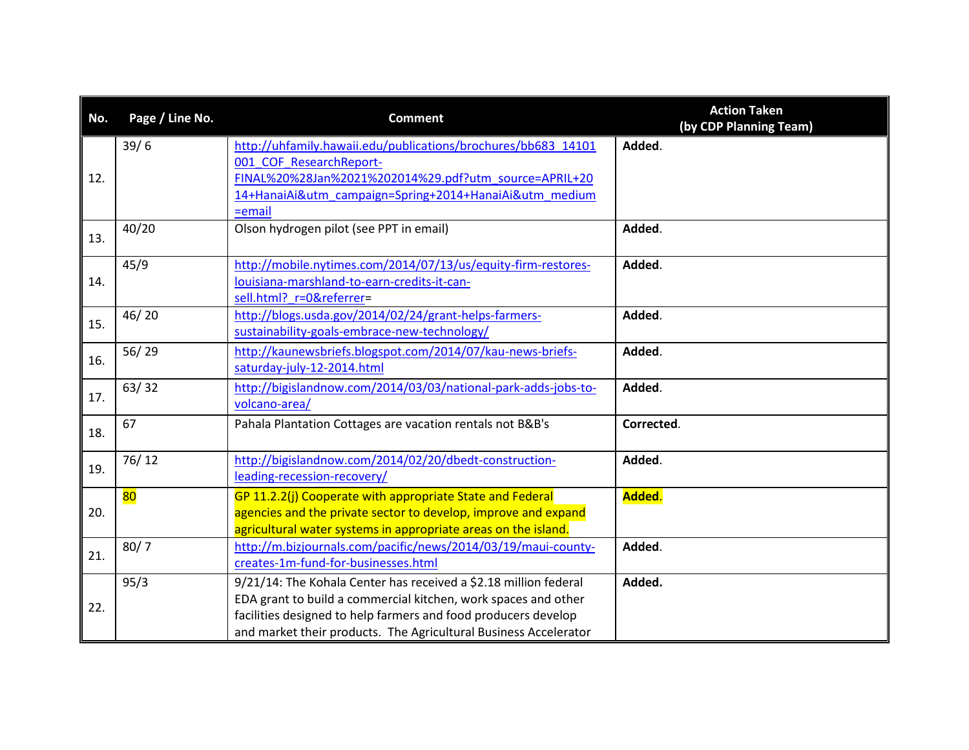| No. | Page / Line No. | <b>Comment</b>                                                                                                                                                                                                                                                           | <b>Action Taken</b><br>(by CDP Planning Team) |
|-----|-----------------|--------------------------------------------------------------------------------------------------------------------------------------------------------------------------------------------------------------------------------------------------------------------------|-----------------------------------------------|
| 12. | 39/6            | http://uhfamily.hawaii.edu/publications/brochures/bb683 14101<br>001 COF ResearchReport-<br>FINAL%20%28Jan%2021%202014%29.pdf?utm_source=APRIL+20<br>14+HanaiAi&utm_campaign=Spring+2014+HanaiAi&utm_medium<br>$=$ email                                                 | Added.                                        |
| 13. | 40/20           | Olson hydrogen pilot (see PPT in email)                                                                                                                                                                                                                                  | Added.                                        |
| 14. | 45/9            | http://mobile.nytimes.com/2014/07/13/us/equity-firm-restores-<br>louisiana-marshland-to-earn-credits-it-can-<br>sell.html? r=0&referrer=                                                                                                                                 | Added.                                        |
| 15. | 46/20           | http://blogs.usda.gov/2014/02/24/grant-helps-farmers-<br>sustainability-goals-embrace-new-technology/                                                                                                                                                                    | Added.                                        |
| 16. | 56/29           | http://kaunewsbriefs.blogspot.com/2014/07/kau-news-briefs-<br>saturday-july-12-2014.html                                                                                                                                                                                 | Added.                                        |
| 17. | 63/32           | http://bigislandnow.com/2014/03/03/national-park-adds-jobs-to-<br>volcano-area/                                                                                                                                                                                          | Added.                                        |
| 18. | 67              | Pahala Plantation Cottages are vacation rentals not B&B's                                                                                                                                                                                                                | Corrected.                                    |
| 19. | 76/12           | http://bigislandnow.com/2014/02/20/dbedt-construction-<br>leading-recession-recovery/                                                                                                                                                                                    | Added.                                        |
| 20. | 80              | GP 11.2.2(j) Cooperate with appropriate State and Federal<br>agencies and the private sector to develop, improve and expand<br>agricultural water systems in appropriate areas on the island.                                                                            | Added.                                        |
| 21. | 80/7            | http://m.bizjournals.com/pacific/news/2014/03/19/maui-county-<br>creates-1m-fund-for-businesses.html                                                                                                                                                                     | Added.                                        |
| 22. | 95/3            | 9/21/14: The Kohala Center has received a \$2.18 million federal<br>EDA grant to build a commercial kitchen, work spaces and other<br>facilities designed to help farmers and food producers develop<br>and market their products. The Agricultural Business Accelerator | Added.                                        |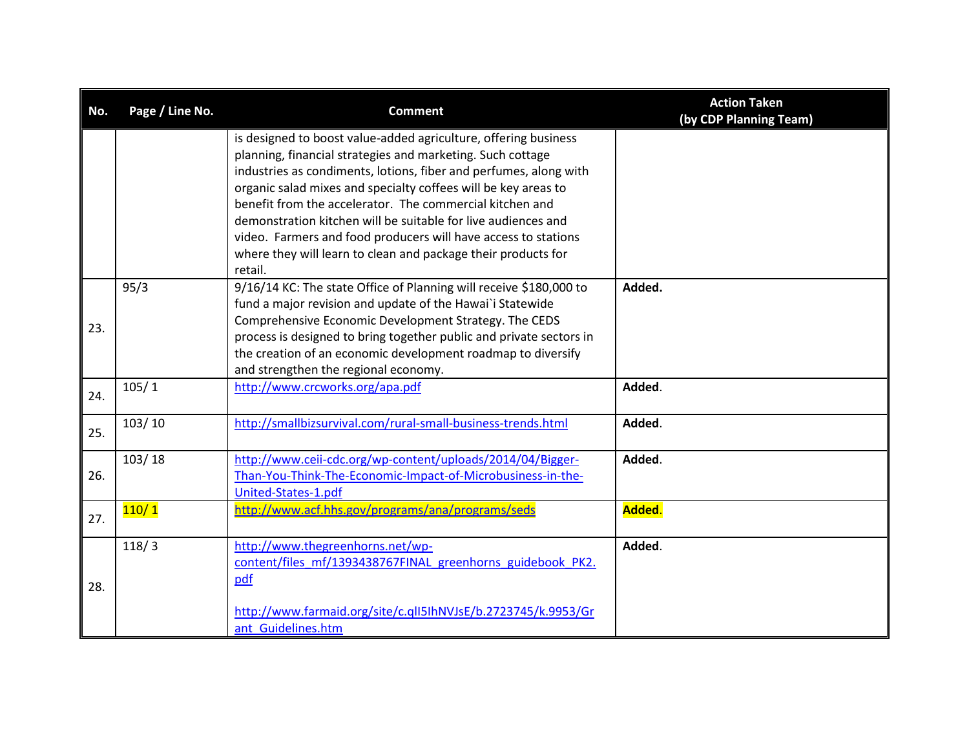| Page / Line No. | <b>Comment</b>                                                  | <b>Action Taken</b><br>(by CDP Planning Team)                                                                                                                                                                                                                                                                                                                                                                                                                                                                                                                                                                                                                                                                                                                                                                                                                                                                                                                                                                                                                                          |
|-----------------|-----------------------------------------------------------------|----------------------------------------------------------------------------------------------------------------------------------------------------------------------------------------------------------------------------------------------------------------------------------------------------------------------------------------------------------------------------------------------------------------------------------------------------------------------------------------------------------------------------------------------------------------------------------------------------------------------------------------------------------------------------------------------------------------------------------------------------------------------------------------------------------------------------------------------------------------------------------------------------------------------------------------------------------------------------------------------------------------------------------------------------------------------------------------|
|                 | is designed to boost value-added agriculture, offering business |                                                                                                                                                                                                                                                                                                                                                                                                                                                                                                                                                                                                                                                                                                                                                                                                                                                                                                                                                                                                                                                                                        |
|                 |                                                                 |                                                                                                                                                                                                                                                                                                                                                                                                                                                                                                                                                                                                                                                                                                                                                                                                                                                                                                                                                                                                                                                                                        |
|                 |                                                                 |                                                                                                                                                                                                                                                                                                                                                                                                                                                                                                                                                                                                                                                                                                                                                                                                                                                                                                                                                                                                                                                                                        |
|                 |                                                                 |                                                                                                                                                                                                                                                                                                                                                                                                                                                                                                                                                                                                                                                                                                                                                                                                                                                                                                                                                                                                                                                                                        |
|                 |                                                                 |                                                                                                                                                                                                                                                                                                                                                                                                                                                                                                                                                                                                                                                                                                                                                                                                                                                                                                                                                                                                                                                                                        |
|                 |                                                                 |                                                                                                                                                                                                                                                                                                                                                                                                                                                                                                                                                                                                                                                                                                                                                                                                                                                                                                                                                                                                                                                                                        |
|                 |                                                                 |                                                                                                                                                                                                                                                                                                                                                                                                                                                                                                                                                                                                                                                                                                                                                                                                                                                                                                                                                                                                                                                                                        |
|                 |                                                                 |                                                                                                                                                                                                                                                                                                                                                                                                                                                                                                                                                                                                                                                                                                                                                                                                                                                                                                                                                                                                                                                                                        |
|                 |                                                                 | Added.                                                                                                                                                                                                                                                                                                                                                                                                                                                                                                                                                                                                                                                                                                                                                                                                                                                                                                                                                                                                                                                                                 |
|                 |                                                                 |                                                                                                                                                                                                                                                                                                                                                                                                                                                                                                                                                                                                                                                                                                                                                                                                                                                                                                                                                                                                                                                                                        |
|                 |                                                                 |                                                                                                                                                                                                                                                                                                                                                                                                                                                                                                                                                                                                                                                                                                                                                                                                                                                                                                                                                                                                                                                                                        |
|                 |                                                                 |                                                                                                                                                                                                                                                                                                                                                                                                                                                                                                                                                                                                                                                                                                                                                                                                                                                                                                                                                                                                                                                                                        |
|                 |                                                                 |                                                                                                                                                                                                                                                                                                                                                                                                                                                                                                                                                                                                                                                                                                                                                                                                                                                                                                                                                                                                                                                                                        |
|                 |                                                                 |                                                                                                                                                                                                                                                                                                                                                                                                                                                                                                                                                                                                                                                                                                                                                                                                                                                                                                                                                                                                                                                                                        |
| 105/1           | http://www.crcworks.org/apa.pdf                                 | Added.                                                                                                                                                                                                                                                                                                                                                                                                                                                                                                                                                                                                                                                                                                                                                                                                                                                                                                                                                                                                                                                                                 |
|                 |                                                                 |                                                                                                                                                                                                                                                                                                                                                                                                                                                                                                                                                                                                                                                                                                                                                                                                                                                                                                                                                                                                                                                                                        |
| 103/10          | http://smallbizsurvival.com/rural-small-business-trends.html    | Added.                                                                                                                                                                                                                                                                                                                                                                                                                                                                                                                                                                                                                                                                                                                                                                                                                                                                                                                                                                                                                                                                                 |
|                 |                                                                 |                                                                                                                                                                                                                                                                                                                                                                                                                                                                                                                                                                                                                                                                                                                                                                                                                                                                                                                                                                                                                                                                                        |
| 103/18          | http://www.ceii-cdc.org/wp-content/uploads/2014/04/Bigger-      | Added.                                                                                                                                                                                                                                                                                                                                                                                                                                                                                                                                                                                                                                                                                                                                                                                                                                                                                                                                                                                                                                                                                 |
|                 | Than-You-Think-The-Economic-Impact-of-Microbusiness-in-the-     |                                                                                                                                                                                                                                                                                                                                                                                                                                                                                                                                                                                                                                                                                                                                                                                                                                                                                                                                                                                                                                                                                        |
|                 | United-States-1.pdf                                             |                                                                                                                                                                                                                                                                                                                                                                                                                                                                                                                                                                                                                                                                                                                                                                                                                                                                                                                                                                                                                                                                                        |
|                 |                                                                 | Added.                                                                                                                                                                                                                                                                                                                                                                                                                                                                                                                                                                                                                                                                                                                                                                                                                                                                                                                                                                                                                                                                                 |
|                 |                                                                 |                                                                                                                                                                                                                                                                                                                                                                                                                                                                                                                                                                                                                                                                                                                                                                                                                                                                                                                                                                                                                                                                                        |
|                 |                                                                 | Added.                                                                                                                                                                                                                                                                                                                                                                                                                                                                                                                                                                                                                                                                                                                                                                                                                                                                                                                                                                                                                                                                                 |
|                 |                                                                 |                                                                                                                                                                                                                                                                                                                                                                                                                                                                                                                                                                                                                                                                                                                                                                                                                                                                                                                                                                                                                                                                                        |
|                 |                                                                 |                                                                                                                                                                                                                                                                                                                                                                                                                                                                                                                                                                                                                                                                                                                                                                                                                                                                                                                                                                                                                                                                                        |
|                 |                                                                 |                                                                                                                                                                                                                                                                                                                                                                                                                                                                                                                                                                                                                                                                                                                                                                                                                                                                                                                                                                                                                                                                                        |
|                 | ant Guidelines.htm                                              |                                                                                                                                                                                                                                                                                                                                                                                                                                                                                                                                                                                                                                                                                                                                                                                                                                                                                                                                                                                                                                                                                        |
|                 | 95/3<br>110/1<br>118/3                                          | planning, financial strategies and marketing. Such cottage<br>industries as condiments, lotions, fiber and perfumes, along with<br>organic salad mixes and specialty coffees will be key areas to<br>benefit from the accelerator. The commercial kitchen and<br>demonstration kitchen will be suitable for live audiences and<br>video. Farmers and food producers will have access to stations<br>where they will learn to clean and package their products for<br>retail.<br>9/16/14 KC: The state Office of Planning will receive \$180,000 to<br>fund a major revision and update of the Hawai'i Statewide<br>Comprehensive Economic Development Strategy. The CEDS<br>process is designed to bring together public and private sectors in<br>the creation of an economic development roadmap to diversify<br>and strengthen the regional economy.<br>http://www.acf.hhs.gov/programs/ana/programs/seds<br>http://www.thegreenhorns.net/wp-<br>content/files mf/1393438767FINAL greenhorns guidebook PK2.<br>pdf<br>http://www.farmaid.org/site/c.qlI5IhNVJsE/b.2723745/k.9953/Gr |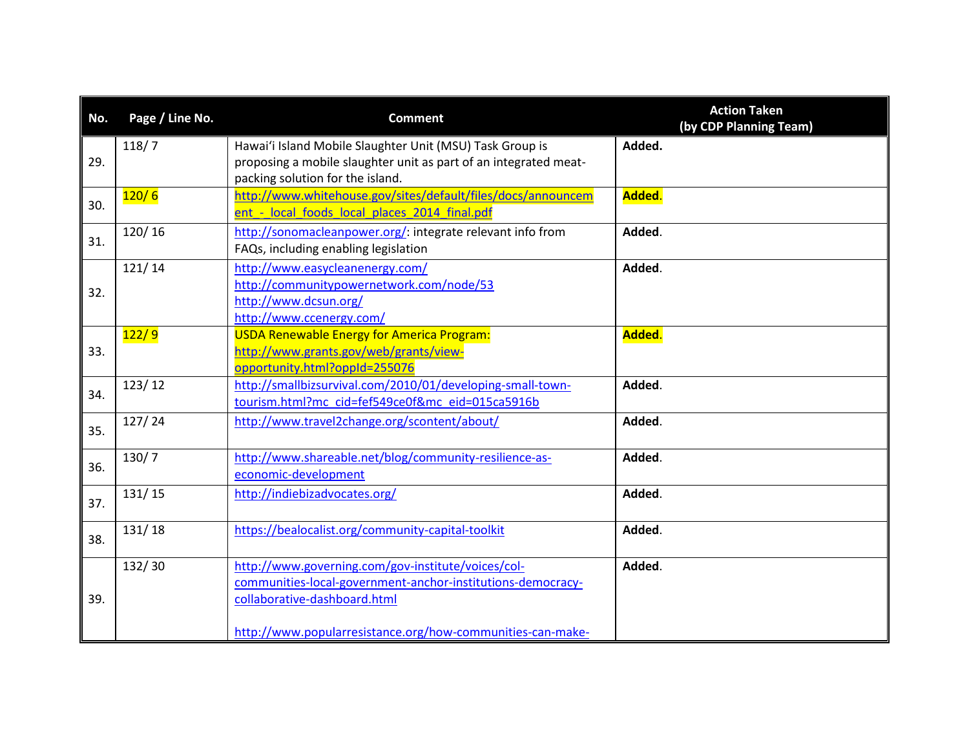| No. | Page / Line No. | <b>Comment</b>                                                                                                                                                                                                  | <b>Action Taken</b><br>(by CDP Planning Team) |
|-----|-----------------|-----------------------------------------------------------------------------------------------------------------------------------------------------------------------------------------------------------------|-----------------------------------------------|
| 29. | 118/7           | Hawai'i Island Mobile Slaughter Unit (MSU) Task Group is<br>proposing a mobile slaughter unit as part of an integrated meat-<br>packing solution for the island.                                                | Added.                                        |
| 30. | 120/6           | http://www.whitehouse.gov/sites/default/files/docs/announcem<br>ent - local foods local places 2014 final.pdf                                                                                                   | Added.                                        |
| 31. | 120/16          | http://sonomacleanpower.org/: integrate relevant info from<br>FAQs, including enabling legislation                                                                                                              | Added.                                        |
| 32. | 121/14          | http://www.easycleanenergy.com/<br>http://communitypowernetwork.com/node/53<br>http://www.dcsun.org/<br>http://www.ccenergy.com/                                                                                | Added.                                        |
| 33. | 122/9           | <b>USDA Renewable Energy for America Program:</b><br>http://www.grants.gov/web/grants/view-<br>opportunity.html?oppId=255076                                                                                    | Added.                                        |
| 34. | 123/12          | http://smallbizsurvival.com/2010/01/developing-small-town-<br>tourism.html?mc_cid=fef549ce0f&mc_eid=015ca5916b                                                                                                  | Added.                                        |
| 35. | 127/24          | http://www.travel2change.org/scontent/about/                                                                                                                                                                    | Added.                                        |
| 36. | 130/7           | http://www.shareable.net/blog/community-resilience-as-<br>economic-development                                                                                                                                  | Added.                                        |
| 37. | 131/15          | http://indiebizadvocates.org/                                                                                                                                                                                   | Added.                                        |
| 38. | 131/18          | https://bealocalist.org/community-capital-toolkit                                                                                                                                                               | Added.                                        |
| 39. | 132/30          | http://www.governing.com/gov-institute/voices/col-<br>communities-local-government-anchor-institutions-democracy-<br>collaborative-dashboard.html<br>http://www.popularresistance.org/how-communities-can-make- | Added.                                        |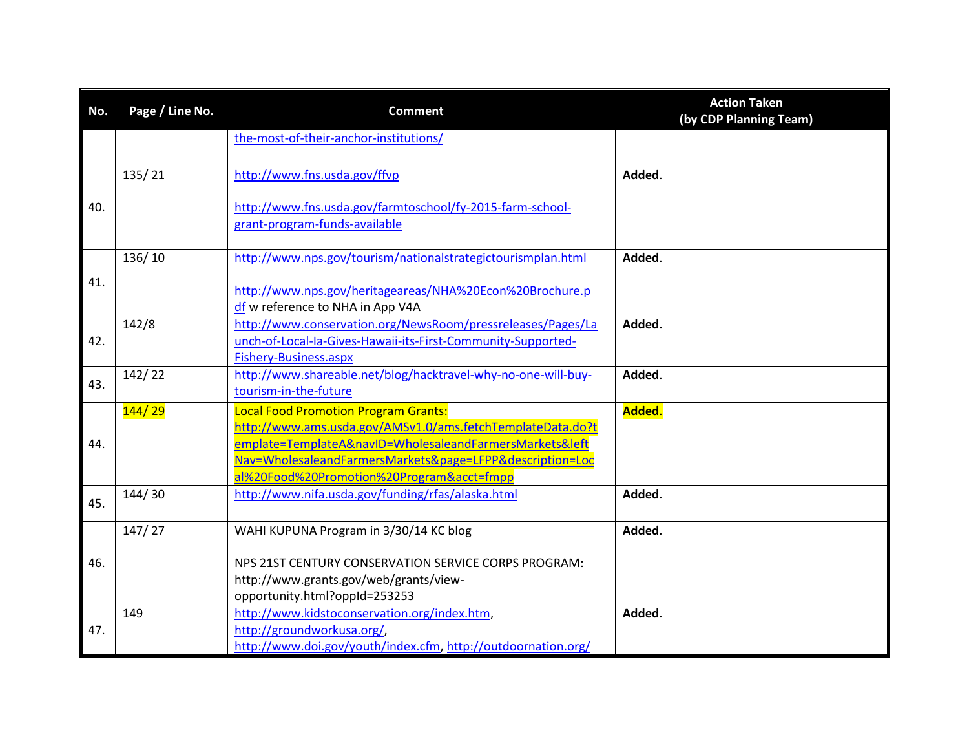| No. | Page / Line No. | <b>Comment</b>                                                                                                              | <b>Action Taken</b><br>(by CDP Planning Team) |
|-----|-----------------|-----------------------------------------------------------------------------------------------------------------------------|-----------------------------------------------|
|     |                 | the-most-of-their-anchor-institutions/                                                                                      |                                               |
|     | 135/21          | http://www.fns.usda.gov/ffvp                                                                                                | Added.                                        |
| 40. |                 | http://www.fns.usda.gov/farmtoschool/fy-2015-farm-school-<br>grant-program-funds-available                                  |                                               |
|     | 136/10          | http://www.nps.gov/tourism/nationalstrategictourismplan.html                                                                | Added.                                        |
| 41. |                 | http://www.nps.gov/heritageareas/NHA%20Econ%20Brochure.p<br>df w reference to NHA in App V4A                                |                                               |
| 42. | 142/8           | http://www.conservation.org/NewsRoom/pressreleases/Pages/La<br>unch-of-Local-Ia-Gives-Hawaii-its-First-Community-Supported- | Added.                                        |
|     |                 | Fishery-Business.aspx                                                                                                       |                                               |
| 43. | 142/22          | http://www.shareable.net/blog/hacktravel-why-no-one-will-buy-<br>tourism-in-the-future                                      | Added.                                        |
|     | 144/29          | <b>Local Food Promotion Program Grants:</b><br>http://www.ams.usda.gov/AMSv1.0/ams.fetchTemplateData.do?t                   | Added.                                        |
| 44. |                 | emplate=TemplateA&navID=WholesaleandFarmersMarkets&left                                                                     |                                               |
|     |                 | Nav=WholesaleandFarmersMarkets&page=LFPP&description=Loc<br>al%20Food%20Promotion%20Program&acct=fmpp                       |                                               |
| 45. | 144/30          | http://www.nifa.usda.gov/funding/rfas/alaska.html                                                                           | Added.                                        |
|     | 147/27          | WAHI KUPUNA Program in 3/30/14 KC blog                                                                                      | Added.                                        |
| 46. |                 | NPS 21ST CENTURY CONSERVATION SERVICE CORPS PROGRAM:                                                                        |                                               |
|     |                 | http://www.grants.gov/web/grants/view-                                                                                      |                                               |
|     | 149             | opportunity.html?oppId=253253<br>http://www.kidstoconservation.org/index.htm,                                               | Added.                                        |
| 47. |                 | http://groundworkusa.org/,                                                                                                  |                                               |
|     |                 | http://www.doi.gov/youth/index.cfm, http://outdoornation.org/                                                               |                                               |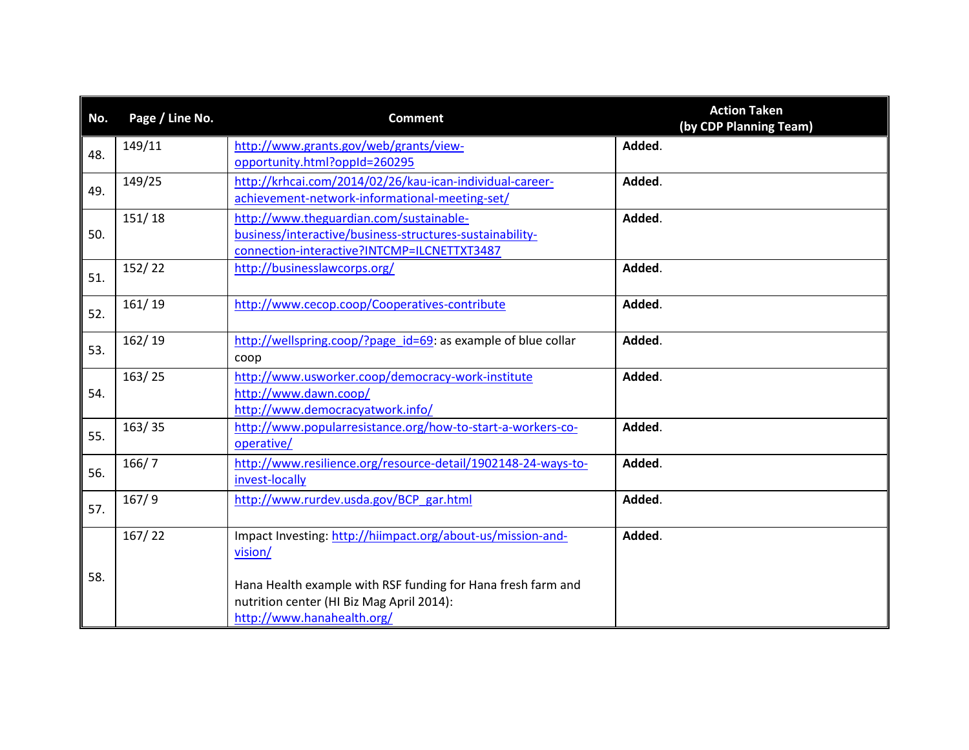| No. | Page / Line No. | <b>Comment</b>                                                                                                                                     | <b>Action Taken</b><br>(by CDP Planning Team) |
|-----|-----------------|----------------------------------------------------------------------------------------------------------------------------------------------------|-----------------------------------------------|
| 48. | 149/11          | http://www.grants.gov/web/grants/view-<br>opportunity.html?oppId=260295                                                                            | Added.                                        |
| 49. | 149/25          | http://krhcai.com/2014/02/26/kau-ican-individual-career-<br>achievement-network-informational-meeting-set/                                         | Added.                                        |
| 50. | 151/18          | http://www.theguardian.com/sustainable-<br>business/interactive/business-structures-sustainability-<br>connection-interactive?INTCMP=ILCNETTXT3487 | Added.                                        |
| 51. | 152/22          | http://businesslawcorps.org/                                                                                                                       | Added.                                        |
| 52. | 161/19          | http://www.cecop.coop/Cooperatives-contribute                                                                                                      | Added.                                        |
| 53. | 162/19          | http://wellspring.coop/?page id=69: as example of blue collar<br>coop                                                                              | Added.                                        |
| 54. | 163/25          | http://www.usworker.coop/democracy-work-institute<br>http://www.dawn.coop/<br>http://www.democracyatwork.info/                                     | Added.                                        |
| 55. | 163/35          | http://www.popularresistance.org/how-to-start-a-workers-co-<br>operative/                                                                          | Added.                                        |
| 56. | 166/7           | http://www.resilience.org/resource-detail/1902148-24-ways-to-<br>invest-locally                                                                    | Added.                                        |
| 57. | 167/9           | http://www.rurdev.usda.gov/BCP_gar.html                                                                                                            | Added.                                        |
|     | 167/22          | Impact Investing: http://hiimpact.org/about-us/mission-and-<br>vision/                                                                             | Added.                                        |
| 58. |                 | Hana Health example with RSF funding for Hana fresh farm and<br>nutrition center (HI Biz Mag April 2014):<br>http://www.hanahealth.org/            |                                               |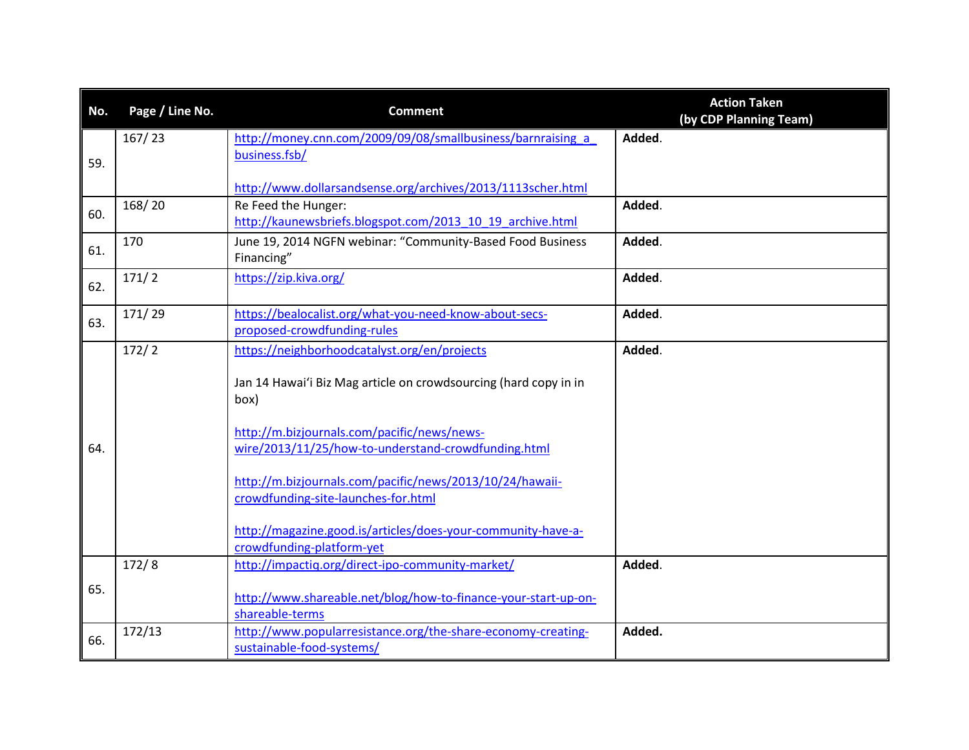| No. | Page / Line No. | <b>Comment</b>                                                                                                                                                                                                                                                                                                                                                                                                                 | <b>Action Taken</b><br>(by CDP Planning Team) |
|-----|-----------------|--------------------------------------------------------------------------------------------------------------------------------------------------------------------------------------------------------------------------------------------------------------------------------------------------------------------------------------------------------------------------------------------------------------------------------|-----------------------------------------------|
| 59. | 167/23          | http://money.cnn.com/2009/09/08/smallbusiness/barnraising a<br>business.fsb/<br>http://www.dollarsandsense.org/archives/2013/1113scher.html                                                                                                                                                                                                                                                                                    | Added.                                        |
| 60. | 168/20          | Re Feed the Hunger:<br>http://kaunewsbriefs.blogspot.com/2013 10 19 archive.html                                                                                                                                                                                                                                                                                                                                               | Added.                                        |
| 61. | 170             | June 19, 2014 NGFN webinar: "Community-Based Food Business<br>Financing"                                                                                                                                                                                                                                                                                                                                                       | Added.                                        |
| 62. | 171/2           | https://zip.kiva.org/                                                                                                                                                                                                                                                                                                                                                                                                          | Added.                                        |
| 63. | 171/29          | https://bealocalist.org/what-you-need-know-about-secs-<br>proposed-crowdfunding-rules                                                                                                                                                                                                                                                                                                                                          | Added.                                        |
| 64. | 172/2           | https://neighborhoodcatalyst.org/en/projects<br>Jan 14 Hawai'i Biz Mag article on crowdsourcing (hard copy in in<br>box)<br>http://m.bizjournals.com/pacific/news/news-<br>wire/2013/11/25/how-to-understand-crowdfunding.html<br>http://m.bizjournals.com/pacific/news/2013/10/24/hawaii-<br>crowdfunding-site-launches-for.html<br>http://magazine.good.is/articles/does-your-community-have-a-<br>crowdfunding-platform-yet | Added.                                        |
| 65. | 172/8           | http://impactiq.org/direct-ipo-community-market/<br>http://www.shareable.net/blog/how-to-finance-your-start-up-on-<br>shareable-terms                                                                                                                                                                                                                                                                                          | Added.                                        |
| 66. | 172/13          | http://www.popularresistance.org/the-share-economy-creating-<br>sustainable-food-systems/                                                                                                                                                                                                                                                                                                                                      | Added.                                        |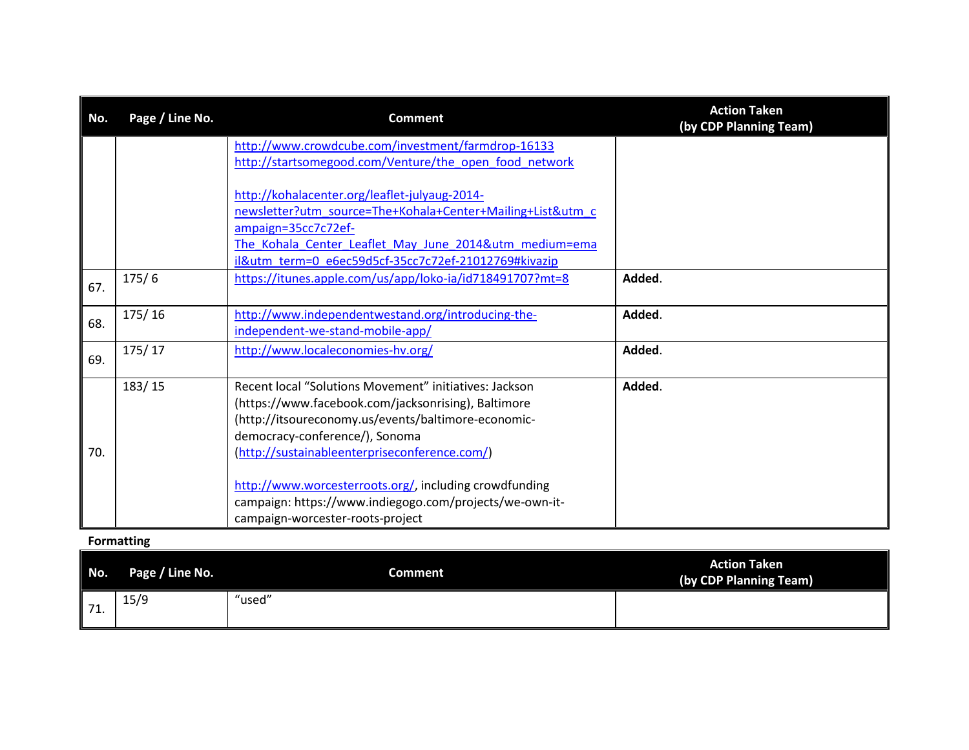| No. | Page / Line No. | <b>Comment</b>                                             | <b>Action Taken</b><br>(by CDP Planning Team) |
|-----|-----------------|------------------------------------------------------------|-----------------------------------------------|
|     |                 | http://www.crowdcube.com/investment/farmdrop-16133         |                                               |
|     |                 | http://startsomegood.com/Venture/the open food network     |                                               |
|     |                 |                                                            |                                               |
|     |                 | http://kohalacenter.org/leaflet-julyaug-2014-              |                                               |
|     |                 | newsletter?utm_source=The+Kohala+Center+Mailing+List&utm_c |                                               |
|     |                 | ampaign=35cc7c72ef-                                        |                                               |
|     |                 | The Kohala Center Leaflet May June 2014&utm medium=ema     |                                               |
|     |                 | il&utm_term=0_e6ec59d5cf-35cc7c72ef-21012769#kivazip       |                                               |
| 67. | 175/6           | https://itunes.apple.com/us/app/loko-ia/id718491707?mt=8   | Added.                                        |
|     |                 |                                                            |                                               |
| 68. | 175/16          | http://www.independentwestand.org/introducing-the-         | Added.                                        |
|     |                 | independent-we-stand-mobile-app/                           |                                               |
| 69. | 175/17          | http://www.localeconomies-hv.org/                          | Added.                                        |
|     |                 |                                                            |                                               |
|     | 183/15          | Recent local "Solutions Movement" initiatives: Jackson     | Added.                                        |
|     |                 | (https://www.facebook.com/jacksonrising), Baltimore        |                                               |
|     |                 | (http://itsoureconomy.us/events/baltimore-economic-        |                                               |
|     |                 | democracy-conference/), Sonoma                             |                                               |
| 70. |                 | (http://sustainableenterpriseconference.com/)              |                                               |
|     |                 |                                                            |                                               |
|     |                 | http://www.worcesterroots.org/, including crowdfunding     |                                               |
|     |                 | campaign: https://www.indiegogo.com/projects/we-own-it-    |                                               |
|     |                 | campaign-worcester-roots-project                           |                                               |

### **Formatting**

| No. | Page / Line No. | <b>Comment</b> | <b>Action Taken</b><br>(by CDP Planning Team) |
|-----|-----------------|----------------|-----------------------------------------------|
| 71. | 15/9            | "used"         |                                               |